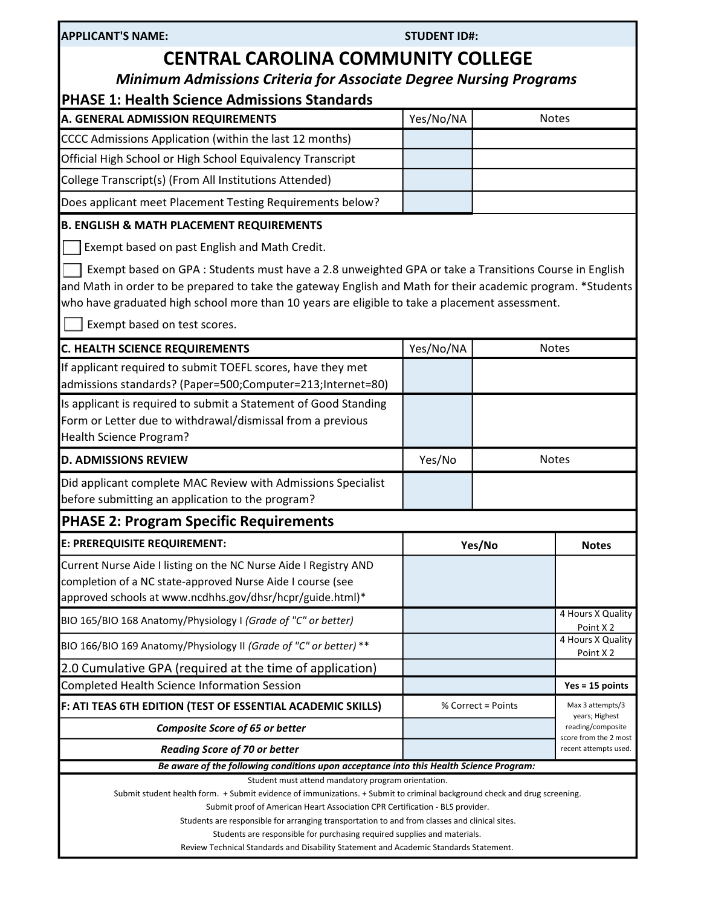| <b>APPLICANT'S NAME:</b> |  |
|--------------------------|--|
|--------------------------|--|

| <b>APPLICANT'S NAME:</b>                                                                                                                                                                                                                                                                                                                               | <b>STUDENT ID#:</b> |              |  |  |
|--------------------------------------------------------------------------------------------------------------------------------------------------------------------------------------------------------------------------------------------------------------------------------------------------------------------------------------------------------|---------------------|--------------|--|--|
| <b>CENTRAL CAROLINA COMMUNITY COLLEGE</b><br><b>Minimum Admissions Criteria for Associate Degree Nursing Programs</b>                                                                                                                                                                                                                                  |                     |              |  |  |
| <b>PHASE 1: Health Science Admissions Standards</b><br>A. GENERAL ADMISSION REQUIREMENTS                                                                                                                                                                                                                                                               | Yes/No/NA           | <b>Notes</b> |  |  |
| CCCC Admissions Application (within the last 12 months)                                                                                                                                                                                                                                                                                                |                     |              |  |  |
| Official High School or High School Equivalency Transcript                                                                                                                                                                                                                                                                                             |                     |              |  |  |
| College Transcript(s) (From All Institutions Attended)                                                                                                                                                                                                                                                                                                 |                     |              |  |  |
| Does applicant meet Placement Testing Requirements below?                                                                                                                                                                                                                                                                                              |                     |              |  |  |
| <b>B. ENGLISH &amp; MATH PLACEMENT REQUIREMENTS</b>                                                                                                                                                                                                                                                                                                    |                     |              |  |  |
| Exempt based on past English and Math Credit.                                                                                                                                                                                                                                                                                                          |                     |              |  |  |
| Exempt based on GPA : Students must have a 2.8 unweighted GPA or take a Transitions Course in English<br>and Math in order to be prepared to take the gateway English and Math for their academic program. *Students<br>who have graduated high school more than 10 years are eligible to take a placement assessment.<br>Exempt based on test scores. |                     |              |  |  |
| <b>C. HEALTH SCIENCE REQUIREMENTS</b>                                                                                                                                                                                                                                                                                                                  | Yes/No/NA           | <b>Notes</b> |  |  |
| If applicant required to submit TOEFL scores, have they met<br>admissions standards? (Paper=500;Computer=213;Internet=80)                                                                                                                                                                                                                              |                     |              |  |  |
| Is applicant is required to submit a Statement of Good Standing<br>Form or Letter due to withdrawal/dismissal from a previous<br>Health Science Program?                                                                                                                                                                                               |                     |              |  |  |
| <b>D. ADMISSIONS REVIEW</b>                                                                                                                                                                                                                                                                                                                            | Yes/No              | <b>Notes</b> |  |  |

Did applicant complete MAC Review with Admissions Specialist before submitting an application to the program?

# PHASE 2: Program Specific Requirements

| E: PREREQUISITE REQUIREMENT:                                                                                                                                                                | Yes/No             | <b>Notes</b>                                   |  |
|---------------------------------------------------------------------------------------------------------------------------------------------------------------------------------------------|--------------------|------------------------------------------------|--|
| Current Nurse Aide I listing on the NC Nurse Aide I Registry AND<br>completion of a NC state-approved Nurse Aide I course (see<br>approved schools at www.ncdhhs.gov/dhsr/hcpr/guide.html)* |                    |                                                |  |
| BIO 165/BIO 168 Anatomy/Physiology I (Grade of "C" or better)                                                                                                                               |                    | 4 Hours X Quality<br>Point X <sub>2</sub>      |  |
| BIO 166/BIO 169 Anatomy/Physiology II (Grade of "C" or better) **                                                                                                                           |                    | 4 Hours X Quality<br>Point X <sub>2</sub>      |  |
| [2.0 Cumulative GPA (required at the time of application)                                                                                                                                   |                    |                                                |  |
| Completed Health Science Information Session                                                                                                                                                |                    | $Yes = 15 points$                              |  |
| F: ATI TEAS 6TH EDITION (TEST OF ESSENTIAL ACADEMIC SKILLS)                                                                                                                                 | % Correct = Points | Max 3 attempts/3<br>years; Highest             |  |
| <b>Composite Score of 65 or better</b>                                                                                                                                                      |                    | reading/composite                              |  |
| <b>Reading Score of 70 or better</b>                                                                                                                                                        |                    | score from the 2 most<br>recent attempts used. |  |

Be aware of the following conditions upon acceptance into this Health Science Program:

Student must attend mandatory program orientation.

Submit student health form. + Submit evidence of immunizations. + Submit to criminal background check and drug screening.

Submit proof of American Heart Association CPR Certification - BLS provider.

Students are responsible for arranging transportation to and from classes and clinical sites.

Students are responsible for purchasing required supplies and materials.

Review Technical Standards and Disability Statement and Academic Standards Statement.